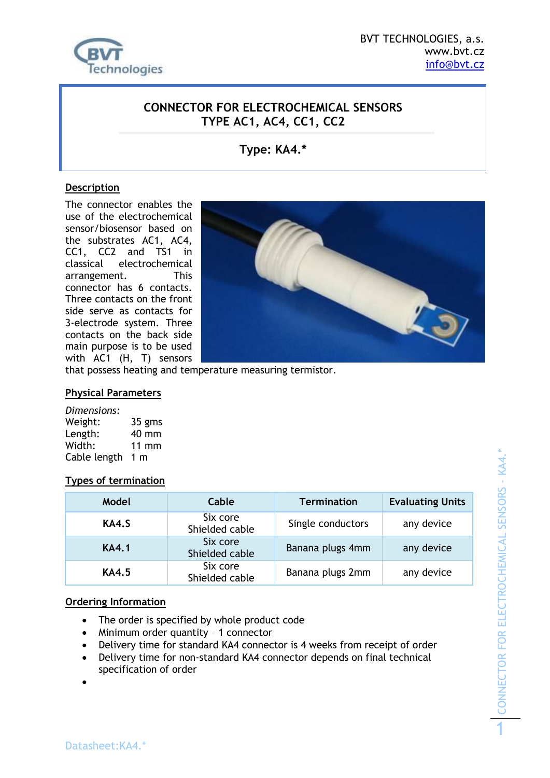

### **CONNECTOR FOR ELECTROCHEMICAL SENSORS TYPE AC1, AC4, CC1, CC2**

## **Type: KA4.\***

#### **Description**

The connector enables the use of the electrochemical sensor/biosensor based on the substrates AC1, AC4, CC1, CC2 and TS1 in classical electrochemical arrangement. This connector has 6 contacts. Three contacts on the front side serve as contacts for 3-electrode system. Three contacts on the back side main purpose is to be used with AC1 (H, T) sensors



that possess heating and temperature measuring termistor.

#### **Physical Parameters**

*Dimensions:* Weight: 35 gms Length: 40 mm Width: 11 mm Cable length 1 m

#### **Types of termination**

| Model        | Cable                      | <b>Termination</b> | <b>Evaluating Units</b> |
|--------------|----------------------------|--------------------|-------------------------|
| KA4.S        | Six core<br>Shielded cable | Single conductors  | any device              |
| <b>KA4.1</b> | Six core<br>Shielded cable | Banana plugs 4mm   | any device              |
| <b>KA4.5</b> | Six core<br>Shielded cable | Banana plugs 2mm   | any device              |

#### **Ordering Information**

- The order is specified by whole product code
- Minimum order quantity 1 connector
- Delivery time for standard KA4 connector is 4 weeks from receipt of order
- Delivery time for non-standard KA4 connector depends on final technical specification of order

 $\bullet$